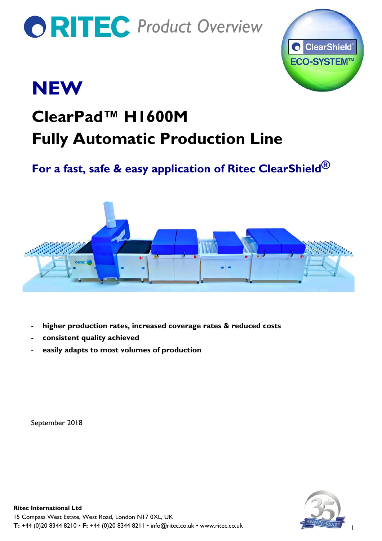# *PRITEC Product Overview*



## **NEW**

### **ClearPad™ H1600M Fully Automatic Production Line**

### **For a fast, safe & easy application of Ritec ClearShield®**



- **higher production rates, increased coverage rates & reduced costs**
- **consistent quality achieved**
- **easily adapts to most volumes of production**

September 2018



1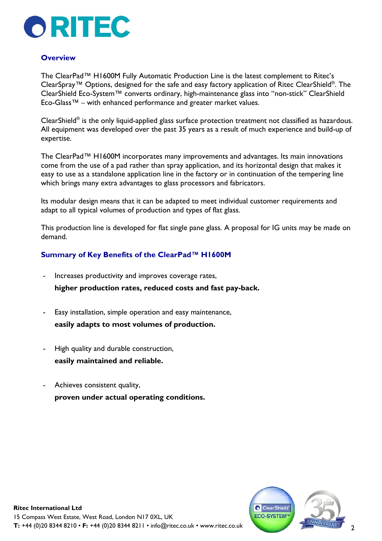

#### **Overview**

The ClearPad™ H1600M Fully Automatic Production Line is the latest complement to Ritec's ClearSpray™ Options, designed for the safe and easy factory application of Ritec ClearShield®. The ClearShield Eco-System™ converts ordinary, high-maintenance glass into "non-stick" ClearShield Eco-Glass™ – with enhanced performance and greater market values.

ClearShield® is the only liquid-applied glass surface protection treatment not classified as hazardous. All equipment was developed over the past 35 years as a result of much experience and build-up of expertise.

The ClearPad™ H1600M incorporates many improvements and advantages. Its main innovations come from the use of a pad rather than spray application, and its horizontal design that makes it easy to use as a standalone application line in the factory or in continuation of the tempering line which brings many extra advantages to glass processors and fabricators.

Its modular design means that it can be adapted to meet individual customer requirements and adapt to all typical volumes of production and types of flat glass.

This production line is developed for flat single pane glass. A proposal for IG units may be made on demand.

#### **Summary of Key Benefits of the ClearPad™ H1600M**

- Increases productivity and improves coverage rates, **higher production rates, reduced costs and fast pay-back.**
- Easy installation, simple operation and easy maintenance, **easily adapts to most volumes of production.**
- High quality and durable construction, **easily maintained and reliable.**
- Achieves consistent quality, **proven under actual operating conditions.**

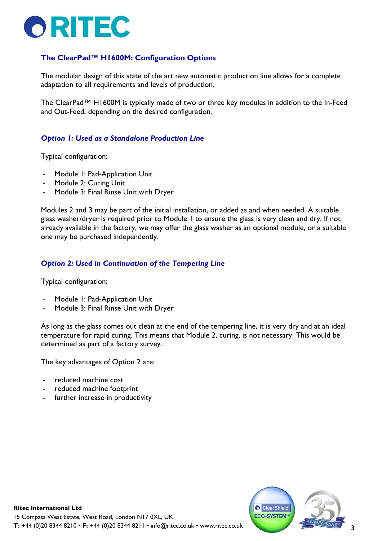

#### **The ClearPad™ H1600M: Configuration Options**

The modular design of this state of the art new automatic production line allows for a complete adaptation to all requirements and levels of production.

The ClearPad™ H1600M is typically made of two or three key modules in addition to the In-Feed and Out-Feed, depending on the desired configuration.

#### *Option 1: Used as a Standalone Production Line*

Typical configuration:

- Module 1: Pad-Application Unit
- Module 2: Curing Unit
- Module 3: Final Rinse Unit with Dryer

Modules 2 and 3 may be part of the initial installation, or added as and when needed. A suitable glass washer/dryer is required prior to Module 1 to ensure the glass is very clean and dry. If not already available in the factory, we may offer the glass washer as an optional module, or a suitable one may be purchased independently.

#### *Option 2: Used in Continuation of the Tempering Line*

Typical configuration:

- Module 1: Pad-Application Unit
- Module 3: Final Rinse Unit with Dryer

As long as the glass comes out clean at the end of the tempering line, it is very dry and at an ideal temperature for rapid curing. This means that Module 2, curing, is not necessary. This would be determined as part of a factory survey.

The key advantages of Option 2 are:

- reduced machine cost
- reduced machine footprint
- further increase in productivity